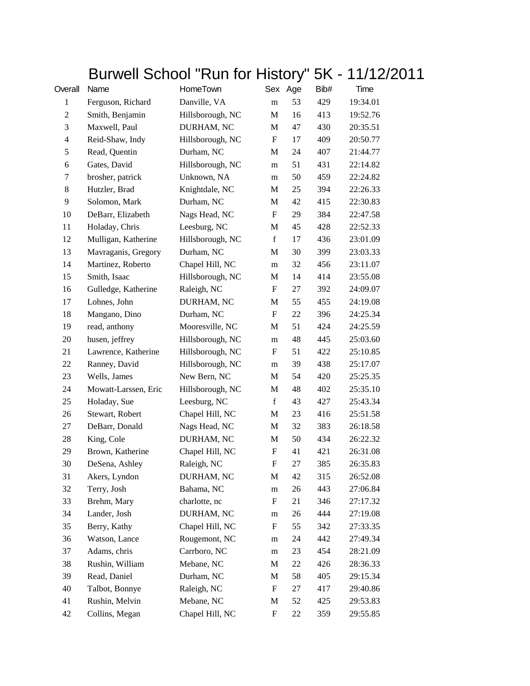## Burwell School "Run for History" 5K - 11/12/2011

| Overall                 | Name                 | HomeTown         |                           | ◢<br>Sex Age | Bib# | Time     |
|-------------------------|----------------------|------------------|---------------------------|--------------|------|----------|
| 1                       | Ferguson, Richard    | Danville, VA     | m                         | 53           | 429  | 19:34.01 |
| $\boldsymbol{2}$        | Smith, Benjamin      | Hillsborough, NC | $\mathbf{M}$              | 16           | 413  | 19:52.76 |
| 3                       | Maxwell, Paul        | DURHAM, NC       | M                         | 47           | 430  | 20:35.51 |
| $\overline{\mathbf{4}}$ | Reid-Shaw, Indy      | Hillsborough, NC | F                         | 17           | 409  | 20:50.77 |
| $\mathfrak s$           | Read, Quentin        | Durham, NC       | M                         | 24           | 407  | 21:44.77 |
| 6                       | Gates, David         | Hillsborough, NC | m                         | 51           | 431  | 22:14.82 |
| 7                       | brosher, patrick     | Unknown, NA      | m                         | 50           | 459  | 22:24.82 |
| 8                       | Hutzler, Brad        | Knightdale, NC   | M                         | 25           | 394  | 22:26.33 |
| 9                       | Solomon, Mark        | Durham, NC       | M                         | 42           | 415  | 22:30.83 |
| 10                      | DeBarr, Elizabeth    | Nags Head, NC    | $\boldsymbol{\mathrm{F}}$ | 29           | 384  | 22:47.58 |
| 11                      | Holaday, Chris       | Leesburg, NC     | M                         | 45           | 428  | 22:52.33 |
| 12                      | Mulligan, Katherine  | Hillsborough, NC | $\mathbf f$               | 17           | 436  | 23:01.09 |
| 13                      | Mavraganis, Gregory  | Durham, NC       | M                         | 30           | 399  | 23:03.33 |
| 14                      | Martinez, Roberto    | Chapel Hill, NC  | m                         | 32           | 456  | 23:11.07 |
| 15                      | Smith, Isaac         | Hillsborough, NC | M                         | 14           | 414  | 23:55.08 |
| 16                      | Gulledge, Katherine  | Raleigh, NC      | F                         | 27           | 392  | 24:09.07 |
| 17                      | Lohnes, John         | DURHAM, NC       | M                         | 55           | 455  | 24:19.08 |
| 18                      | Mangano, Dino        | Durham, NC       | F                         | 22           | 396  | 24:25.34 |
| 19                      | read, anthony        | Mooresville, NC  | M                         | 51           | 424  | 24:25.59 |
| 20                      | husen, jeffrey       | Hillsborough, NC | m                         | 48           | 445  | 25:03.60 |
| 21                      | Lawrence, Katherine  | Hillsborough, NC | F                         | 51           | 422  | 25:10.85 |
| 22                      | Ranney, David        | Hillsborough, NC | m                         | 39           | 438  | 25:17.07 |
| 23                      | Wells, James         | New Bern, NC     | M                         | 54           | 420  | 25:25.35 |
| 24                      | Mowatt-Larssen, Eric | Hillsborough, NC | M                         | 48           | 402  | 25:35.10 |
| 25                      | Holaday, Sue         | Leesburg, NC     | $\mathbf f$               | 43           | 427  | 25:43.34 |
| 26                      | Stewart, Robert      | Chapel Hill, NC  | M                         | 23           | 416  | 25:51.58 |
| 27                      | DeBarr, Donald       | Nags Head, NC    | M                         | 32           | 383  | 26:18.58 |
| 28                      | King, Cole           | DURHAM, NC       | M                         | 50           | 434  | 26:22.32 |
| 29                      | Brown, Katherine     | Chapel Hill, NC  | F                         | 41           | 421  | 26:31.08 |
| 30                      | DeSena, Ashley       | Raleigh, NC      | F                         | 27           | 385  | 26:35.83 |
| 31                      | Akers, Lyndon        | DURHAM, NC       | M                         | 42           | 315  | 26:52.08 |
| 32                      | Terry, Josh          | Bahama, NC       | m                         | 26           | 443  | 27:06.84 |
| 33                      | Brehm, Mary          | charlotte, nc    | F                         | 21           | 346  | 27:17.32 |
| 34                      | Lander, Josh         | DURHAM, NC       | m                         | 26           | 444  | 27:19.08 |
| 35                      | Berry, Kathy         | Chapel Hill, NC  | F                         | 55           | 342  | 27:33.35 |
| 36                      | Watson, Lance        | Rougemont, NC    | m                         | 24           | 442  | 27:49.34 |
| 37                      | Adams, chris         | Carrboro, NC     | m                         | 23           | 454  | 28:21.09 |
| 38                      | Rushin, William      | Mebane, NC       | M                         | 22           | 426  | 28:36.33 |
| 39                      | Read, Daniel         | Durham, NC       | M                         | 58           | 405  | 29:15.34 |
| 40                      | Talbot, Bonnye       | Raleigh, NC      | F                         | 27           | 417  | 29:40.86 |
| 41                      | Rushin, Melvin       | Mebane, NC       | M                         | 52           | 425  | 29:53.83 |
| 42                      | Collins, Megan       | Chapel Hill, NC  | F                         | 22           | 359  | 29:55.85 |